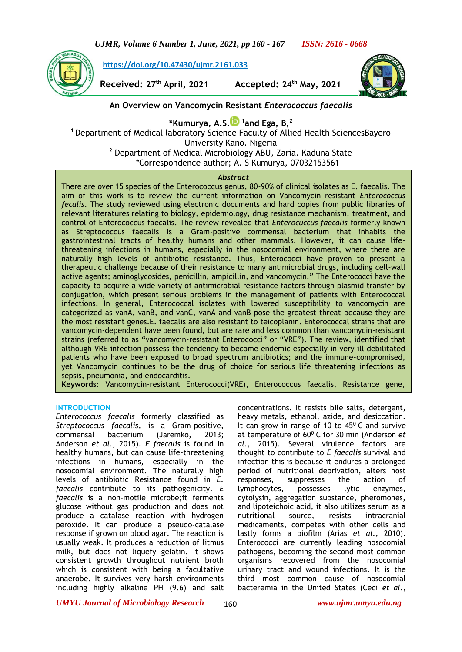**[https://doi.org/10.47430/ujmr.2161.033](https://doi.org/10.47430/ujmr.2052.001)**

**Received: 27th April, 2021 Accepted: 24th May, 2021**



# **An Overview on Vancomycin Resistant** *Enterococcus faecalis*

**\*Kumurya, A.S[.](https://orcid.org/0000-0001-5390-5696) 1 and Ega, B,<sup>2</sup>**

<sup>1</sup> Department of Medical laboratory Science Faculty of Allied Health SciencesBayero University Kano. Nigeria <sup>2</sup> Department of Medical Microbiology ABU, Zaria. Kaduna State \*Correspondence author; A. S Kumurya, 07032153561

#### *Abstract*

There are over 15 species of the Enterococcus genus, 80-90% of clinical isolates as E. faecalis. The aim of this work is to review the current information on Vancomycin resistant *Enterococcus fecalis*. The study reviewed using electronic documents and hard copies from public libraries of relevant literatures relating to biology, epidemiology, drug resistance mechanism, treatment, and control of Enterococcus faecalis. The review revealed that *Enterocuccus faecalis* formerly known as Streptococcus faecalis is a Gram-positive commensal bacterium that inhabits the gastrointestinal tracts of healthy humans and other mammals. However, it can cause lifethreatening infections in humans, especially in the nosocomial environment, where there are naturally high levels of antibiotic resistance. Thus, Enterococci have proven to present a therapeutic challenge because of their resistance to many antimicrobial drugs, including cell-wall active agents; aminoglycosides, penicillin, ampicillin, and vancomycin." The Enterococci have the capacity to acquire a wide variety of antimicrobial resistance factors through plasmid transfer by conjugation, which present serious problems in the management of patients with Enterococcal infections. In general, Enterococcal isolates with lowered susceptibility to vancomycin are categorized as vanA, vanB, and vanC, vanA and vanB pose the greatest threat because they are the most resistant genes.E. faecalis are also resistant to teicoplanin. Enterococcal strains that are vancomycin-dependent have been found, but are rare and less common than vancomycin-resistant strains (referred to as "vancomycin-resistant Enterococci" or "VRE"). The review, identified that although VRE infection possess the tendency to become endemic especially in very ill debilitated patients who have been exposed to broad spectrum antibiotics; and the immune-compromised, yet Vancomycin continues to be the drug of choice for serious life threatening infections as sepsis, pneumonia, and endocarditis.

**Keywords**: Vancomycin-resistant Enterococci(VRE), Enterococcus faecalis, Resistance gene,

#### **INTRODUCTION**

<u>Antibiotics (Antibiotics)</u>

*Enterococcus faecalis* formerly classified as *Streptococcus faecalis,* is a Gram-positive, commensal bacterium (Jaremko, 2013; Anderson *et al*., 2015). *E faecalis* is found in healthy humans, but can cause life-threatening infections in humans, especially in the nosocomial environment. The naturally high levels of antibiotic Resistance found in *E. faecalis* contribute to its pathogenicity. *E faecalis* is a non-motile microbe;it ferments glucose without gas production and does not produce a catalase reaction with hydrogen peroxide. It can produce a pseudo-catalase response if grown on blood agar. The reaction is usually weak. It produces a reduction of litmus milk, but does not liquefy gelatin. It shows consistent growth throughout nutrient broth which is consistent with being a facultative anaerobe. It survives very harsh environments including highly alkaline PH (9.6) and salt concentrations. It resists bile salts, detergent, heavy metals, ethanol, azide, and desiccation. It can grow in range of 10 to  $45^{\circ}$  C and survive at temperature of 60<sup>0</sup> C for 30 min (Anderson *et al*., 2015). Several virulence factors are thought to contribute to *E faecalis* survival and infection this is because it endures a prolonged period of nutritional deprivation, alters host responses, suppresses the action of lymphocytes, possesses lytic enzymes, cytolysin, aggregation substance, pheromones, and lipoteichoic acid, it also utilizes serum as a nutritional source, resists intracranial medicaments, competes with other cells and lastly forms a biofilm (Arias *et al*., 2010). Enterococci are currently leading nosocomial pathogens, becoming the second most common organisms recovered from the nosocomial urinary tract and wound infections. It is the third most common cause of nosocomial bacteremia in the United States (Ceci *et al*.,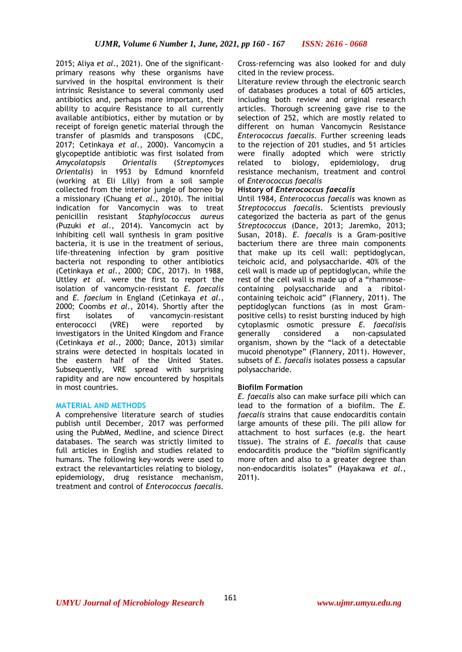2015; Aliya *et al*., 2021). One of the significantprimary reasons why these organisms have survived in the hospital environment is their intrinsic Resistance to several commonly used antibiotics and, perhaps more important, their ability to acquire Resistance to all currently available antibiotics, either by mutation or by receipt of foreign genetic material through the transfer of plasmids and transposons (CDC, 2017; Cetinkaya *et al*., 2000). Vancomycin a glycopeptide antibiotic was first isolated from *Amycolatopsis Orientalis* (*Streptomyces Orientalis*) in 1953 by Edmund knornfeld (working at Eli Lilly) from a soil sample collected from the interior jungle of borneo by a missionary (Chuang *et al*., 2010). The initial indication for Vancomycin was to treat penicillin resistant *Staphylococcus aureus*  (Puzuki *et al*., 2014). Vancomycin act by inhibiting cell wall synthesis in gram positive bacteria, it is use in the treatment of serious, life-threatening infection by gram positive bacteria not responding to other antibiotics (Cetinkaya *et al*., 2000; CDC, 2017). In 1988, Uttley *et al*. were the first to report the isolation of vancomycin-resistant *E. faecalis* and *E. faecium* in England (Cetinkaya *et al*., 2000; Coombs *et al*., 2014). Shortly after the first isolates of vancomycin-resistant enterococci (VRE) were reported by investigators in the United Kingdom and France (Cetinkaya *et al*., 2000; Dance, 2013) similar strains were detected in hospitals located in the eastern half of the United States. Subsequently, VRE spread with surprising rapidity and are now encountered by hospitals in most countries.

# **MATERIAL AND METHODS**

A comprehensive literature search of studies publish until December, 2017 was performed using the PubMed, Medline, and science Direct databases. The search was strictly limited to full articles in English and studies related to humans. The following key-words were used to extract the relevantarticles relating to biology, epidemiology, drug resistance mechanism, treatment and control of *Enterococcus faecalis.*

Cross-referncing was also looked for and duly cited in the review process.

Literature review through the electronic search of databases produces a total of 605 articles, including both review and original research articles. Thorough screening gave rise to the selection of 252, which are mostly related to different on human Vancomycin Resistance *Enterococcus faecalis.* Further screening leads to the rejection of 201 studies, and 51 articles were finally adopted which were strictly related to biology, epidemiology, drug resistance mechanism, treatment and control of *Enterococcus faecalis*

# **History of** *Enterococcus faecalis*

Until 1984, *Enterococcus faecalis* was known as *Streptococcus faecalis*. Scientists previously categorized the bacteria as part of the genus *Streptococcus* (Dance, 2013; Jaremko, 2013; Susan, 2018)*. E. faecalis* is a Gram-positive bacterium there are three main components that make up its cell wall: peptidoglycan, teichoic acid, and polysaccharide. 40% of the cell wall is made up of peptidoglycan, while the rest of the cell wall is made up of a "rhamnosecontaining polysaccharide and a ribitolcontaining teichoic acid" (Flannery, 2011). The peptidoglycan functions (as in most Grampositive cells) to resist bursting induced by high cytoplasmic osmotic pressure *E. faecalis*is generally considered a non-capsulated organism, shown by the "lack of a detectable mucoid phenotype" (Flannery, 2011). However, subsets of *E. faecalis* isolates possess a capsular polysaccharide.

# **Biofilm Formation**

*E. faecalis* also can make surface pili which can lead to the formation of a biofilm. The *E. faecalis* strains that cause endocarditis contain large amounts of these pili. The pili allow for attachment to host surfaces (e.g. the heart tissue). The strains of *E. faecalis* that cause endocarditis produce the "biofilm significantly more often and also to a greater degree than non-endocarditis isolates" (Hayakawa *et al*., 2011).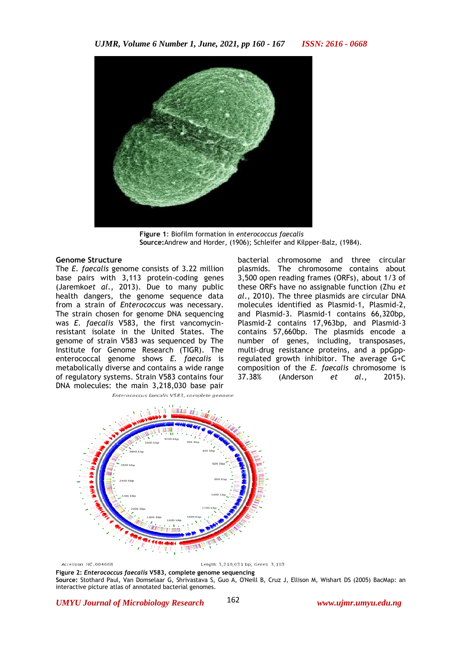

**Figure 1**: Biofilm formation in *enterococcus faecalis* **Source:**Andrew and Horder, (1906); Schleifer and Kilpper-Balz, (1984).

#### **Genome Structure**

The *E. faecalis* genome consists of 3.22 million base pairs with 3,113 protein-coding genes (Jaremko*et al*., 2013). Due to many public health dangers, the genome sequence data from a strain of *Enterococcus* was necessary. The strain chosen for genome DNA sequencing was *E. faecalis* V583, the first vancomycinresistant isolate in the United States. The genome of strain V583 was sequenced by The Institute for Genome Research (TIGR). The enterococcal genome shows *E. faecalis* is metabolically diverse and contains a wide range of regulatory systems. Strain V583 contains four DNA molecules: the main 3,218,030 base pair

bacterial chromosome and three circular plasmids. The chromosome contains about 3,500 open reading frames (ORFs), about 1/3 of these ORFs have no assignable function (Zhu *et al*., 2010). The three plasmids are circular DNA molecules identified as Plasmid-1, Plasmid-2, and Plasmid-3. Plasmid-1 contains 66,320bp, Plasmid-2 contains 17,963bp, and Plasmid-3 contains 57,660bp. The plasmids encode a number of genes, including, transposases, multi-drug resistance proteins, and a ppGppregulated growth inhibitor. The average G+C composition of the *E. faecalis* chromosome is 37.38% (Anderson *et al*., 2015).



Accession: NC\_004668

Length: 3,218,031 bp; Genes: 3,193

**Figure 2:** *Enterococcus faecalis* **V583, complete genome sequencing Source:** Stothard Paul, Van Domselaar G, Shrivastava S, Guo A, O'Neill B, Cruz J, Ellison M, Wishart DS (2005) BacMap: an interactive picture atlas of annotated bacterial genomes.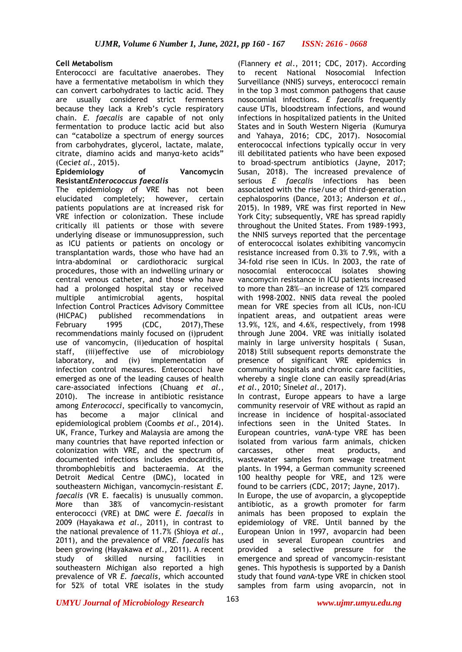## **Cell Metabolism**

Enterococci are facultative anaerobes. They have a fermentative metabolism in which they can convert carbohydrates to lactic acid. They are usually considered strict fermenters because they lack a Kreb's cycle respiratory chain. *E. faecalis* are capable of not only fermentation to produce lactic acid but also can "catabolize a spectrum of energy sources from carbohydrates, glycerol, lactate, malate, citrate, diamino acids and manyα-keto acids" (Ceci*et al*., 2015).

#### **Epidemiology of Vancomycin Resistant***Enterococcus faecalis*

The epidemiology of VRE has not been elucidated completely; however, certain patients populations are at increased risk for VRE infection or colonization. These include critically ill patients or those with severe underlying disease or immunosuppression, such as ICU patients or patients on oncology or transplantation wards, those who have had an intra-abdominal or cardiothoracic surgical procedures, those with an indwelling urinary or central venous catheter, and those who have had a prolonged hospital stay or received multiple antimicrobial agents, hospital Infection Control Practices Advisory Committee (HICPAC) published recommendations in February 1995 (CDC, 2017),These recommendations mainly focused on (i)prudent use of vancomycin, (ii)education of hospital staff, (iii)effective use of microbiology laboratory, and (iv) implementation of infection control measures. Enterococci have emerged as one of the leading causes of health care-associated infections (Chuang *et al*., 2010). The increase in antibiotic resistance among *Enterococci*, specifically to vancomycin, has become a major clinical and epidemiological problem (Coombs *et al*., 2014). UK, France, Turkey and Malaysia are among the many countries that have reported infection or colonization with VRE, and the spectrum of documented infections includes endocarditis, thrombophlebitis and bacteraemia. At the Detroit Medical Centre (DMC), located in southeastern Michigan, vancomycin-resistant *E. faecalis* (VR E. faecalis) is unusually common. More than 38% of vancomycin-resistant enterococci (VRE) at DMC were *E. faecalis* in 2009 (Hayakawa *et al*., 2011), in contrast to the national prevalence of 11.7% (Shioya *et al*., 2011), and the prevalence of VR*E. faecalis* has been growing (Hayakawa *et al*., 2011). A recent study of skilled nursing facilities in southeastern Michigan also reported a high prevalence of VR *E. faecalis*, which accounted for 52% of total VRE isolates in the study

(Flannery *et al*., 2011; CDC, 2017). According to recent National Nosocomial Infection Surveillance (NNIS) surveys, enterococci remain in the top 3 most common pathogens that cause nosocomial infections. *E faecalis* frequently cause UTIs, bloodstream infections, and wound infections in hospitalized patients in the United States and in South Western Nigeria (Kumurya and Yahaya, 2016; CDC, 2017). Nosocomial enterococcal infections typically occur in very ill debilitated patients who have been exposed to broad-spectrum antibiotics (Jayne, 2017; Susan, 2018). The increased prevalence of serious *E faecalis* infections has been associated with the rise/use of third-generation cephalosporins (Dance, 2013; Anderson *et al*., 2015). In 1989, VRE was first reported in New York City; subsequently, VRE has spread rapidly throughout the United States. From 1989-1993, the NNIS surveys reported that the percentage of enterococcal isolates exhibiting vancomycin resistance increased from 0.3% to 7.9%, with a 34-fold rise seen in ICUs. In 2003, the rate of nosocomial enterococcal isolates showing vancomycin resistance in ICU patients increased to more than 28%—an increase of 12% compared with 1998-2002. NNIS data reveal the pooled mean for VRE species from all ICUs, non-ICU inpatient areas, and outpatient areas were 13.9%, 12%, and 4.6%, respectively, from 1998 through June 2004. VRE was initially isolated mainly in large university hospitals ( Susan, 2018) Still subsequent reports demonstrate the presence of significant VRE epidemics in community hospitals and chronic care facilities, whereby a single clone can easily spread(Arias *et al*., 2010; Sinel*et al*., 2017).

In contrast, Europe appears to have a large community reservoir of VRE without as rapid an increase in incidence of hospital-associated infections seen in the United States. In European countries, *van*A-type VRE has been isolated from various farm animals, chicken carcasses, other meat products, and wastewater samples from sewage treatment plants. In 1994, a German community screened 100 healthy people for VRE, and 12% were found to be carriers (CDC, 2017; Jayne, 2017). In Europe, the use of avoparcin, a glycopeptide antibiotic, as a growth promoter for farm animals has been proposed to explain the epidemiology of VRE. Until banned by the European Union in 1997, avoparcin had been used in several European countries and provided a selective pressure for the emergence and spread of vancomycin-resistant genes. This hypothesis is supported by a Danish study that found *van*A-type VRE in chicken stool samples from farm using avoparcin, not in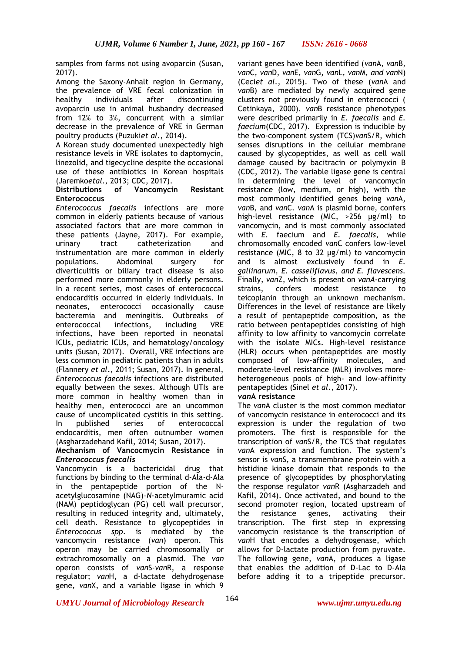samples from farms not using avoparcin (Susan, 2017).

Among the Saxony-Anhalt region in Germany, the prevalence of VRE fecal colonization in healthy individuals after discontinuing avoparcin use in animal husbandry decreased from 12% to 3%, concurrent with a similar decrease in the prevalence of VRE in German poultry products (Puzuki*et al*., 2014).

A Korean study documented unexpectedly high resistance levels in VRE isolates to daptomycin, linezolid, and tigecycline despite the occasional use of these antibiotics in Korean hospitals (Jaremko*etal*., 2013; CDC, 2017).

# **Distributions of Vancomycin Resistant Enterococcus**

*Enterococcus faecalis* infections are more common in elderly patients because of various associated factors that are more common in these patients (Jayne, 2017). For example, urinary tract catheterization and instrumentation are more common in elderly populations. Abdominal surgery for diverticulitis or biliary tract disease is also performed more commonly in elderly persons. In a recent series, most cases of enterococcal endocarditis occurred in elderly individuals. In neonates, enterococci occasionally cause bacteremia and meningitis. Outbreaks of enterococcal infections, including VRE infections, have been reported in neonatal ICUs, pediatric ICUs, and hematology/oncology units (Susan, 2017). Overall, VRE infections are less common in pediatric patients than in adults (Flannery *et al*., 2011; Susan, 2017). In general, *Enterococcus faecalis* infections are distributed equally between the sexes. Although UTIs are more common in healthy women than in healthy men, enterococci are an uncommon cause of uncomplicated cystitis in this setting. In published series of enterococcal endocarditis, men often outnumber women (Asgharzadehand Kafil, 2014; Susan, 2017).

## **Mechanism of Vancocmycin Resistance in**  *Enterococcus faecalis*

Vancomycin is a bactericidal drug that functions by binding to the terminal d-Ala-d-Ala in the pentapeptide portion of the Nacetylglucosamine (NAG)–*N*-acetylmuramic acid (NAM) peptidoglycan (PG) cell wall precursor, resulting in reduced integrity and, ultimately, cell death. Resistance to glycopeptides in *Enterococcus spp*. is mediated by the vancomycin resistance (*van*) operon. This operon may be carried chromosomally or extrachromosomally on a plasmid. The *van* operon consists of *van*S-*van*R, a response regulator; *van*H, a d-lactate dehydrogenase gene*, van*X, and a variable ligase in which 9

variant genes have been identified (*van*A*, van*B*, van*C*, van*D*, van*E*, van*G*, van*L*, van*M*, and van*N) (Ceci*et al*., 2015). Two of these (*van*A and *van*B) are mediated by newly acquired gene clusters not previously found in enterococci ( Cetinkaya, 2000). *van*B resistance phenotypes were described primarily in *E. faecalis* and *E. faecium*(CDC, 2017). Expression is inducible by the two-component system (TCS)*van*S/R, which senses disruptions in the cellular membrane caused by glycopeptides, as well as cell wall damage caused by bacitracin or polymyxin B (CDC, 2012). The variable ligase gene is central in determining the level of vancomycin resistance (low, medium, or high), with the most commonly identified genes being *van*A*, van*B*,* and *van*C*. van*A is plasmid borne, confers high-level resistance (MIC, >256 μg/ml) to vancomycin, and is most commonly associated with *E.* faecium and *E. faecalis*, while chromosomally encoded *van*C confers low-level resistance (MIC, 8 to 32 μg/ml) to vancomycin and is almost exclusively found in *E. gallinarum, E. casseliflavus, and E. flavescens.* Finally, *van*Z, which is present on *vanA*-carrying strains, confers modest resistance to teicoplanin through an unknown mechanism. Differences in the level of resistance are likely a result of pentapeptide composition, as the ratio between pentapeptides consisting of high affinity to low affinity to vancomycin correlate with the isolate MICs. High-level resistance (HLR) occurs when pentapeptides are mostly composed of low-affinity molecules, and moderate-level resistance (MLR) involves moreheterogeneous pools of high- and low-affinity pentapeptides (Sinel *et al*., 2017).

# *van***A resistance**

The *van*A cluster is the most common mediator of vancomycin resistance in enterococci and its expression is under the regulation of two promoters. The first is responsible for the transcription of *van*S/R, the TCS that regulates *van*A expression and function. The system's sensor is *van*S, a transmembrane protein with a histidine kinase domain that responds to the presence of glycopeptides by phosphorylating the response regulator *van*R (Asgharzadeh and Kafil, 2014). Once activated, and bound to the second promoter region, located upstream of the resistance genes, activating their transcription. The first step in expressing vancomycin resistance is the transcription of *van*H that encodes a dehydrogenase, which allows for D-lactate production from pyruvate. The following gene, *van*A, produces a ligase that enables the addition of D-Lac to D-Ala before adding it to a tripeptide precursor.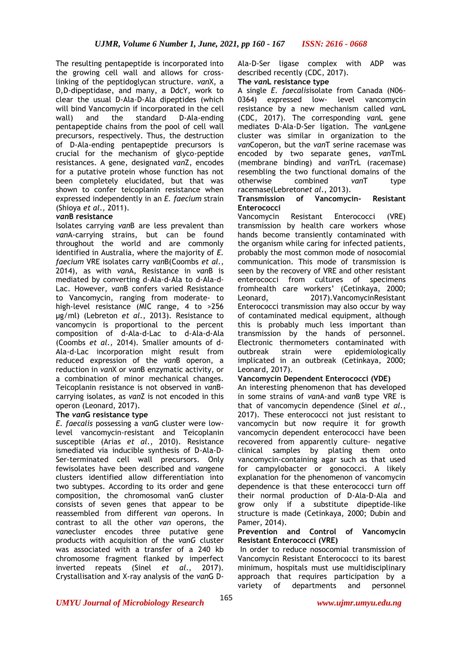The resulting pentapeptide is incorporated into the growing cell wall and allows for crosslinking of the peptidoglycan structure. *van*X, a D,D-dipeptidase, and many, a DdcY, work to clear the usual D-Ala-D-Ala dipeptides (which will bind Vancomycin if incorporated in the cell wall) and the standard D-Ala-ending pentapeptide chains from the pool of cell wall precursors, respectively. Thus, the destruction of D-Ala-ending pentapeptide precursors is crucial for the mechanism of glyco-peptide resistances. A gene, designated *van*Z, encodes for a putative protein whose function has not been completely elucidated, but that was shown to confer teicoplanin resistance when expressed independently in an *E. faecium* strain (Shioya *et al*., 2011).

## *van***B resistance**

Isolates carrying *van*B are less prevalent than *van*A-carrying strains, but can be found throughout the world and are commonly identified in Australia, where the majority of *E. faecium* VRE isolates carry *van*B(Coombs *et al.,* 2014), as with *van*A*,* Resistance in *van*B is mediated by converting d-Ala-d-Ala to d-Ala-d-Lac. However, *van*B confers varied Resistance to Vancomycin, ranging from moderate- to high-level resistance (MIC range, 4 to >256 μg/ml) (Lebreton *et al*., 2013). Resistance to vancomycin is proportional to the percent composition of d-Ala-d-Lac to d-Ala-d-Ala (Coombs *et al.,* 2014). Smaller amounts of d-Ala-d-Lac incorporation might result from reduced expression of the *van*B operon, a reduction in *van*X or *van*B enzymatic activity, or a combination of minor mechanical changes. Teicoplanin resistance is not observed in *van*Bcarrying isolates, as *van*Z is not encoded in this operon (Leonard, 2017).

# **The** *van***G resistance type**

*E. faecalis* possessing a *van*G cluster were lowlevel vancomycin-resistant and Teicoplanin susceptible (Arias *et al*., 2010). Resistance ismediated via inducible synthesis of D-Ala-D-Ser-terminated cell wall precursors. Only fewisolates have been described and *van*gene clusters identified allow differentiation into two subtypes. According to its order and gene composition, the chromosomal vanG cluster consists of seven genes that appear to be reassembled from different *van* operons. In contrast to all the other *van* operons, the *van*ecluster encodes three putative gene products with acquisition of the *vanG* cluster was associated with a transfer of a 240 kb chromosome fragment flanked by imperfect inverted repeats (Sinel *et al*., 2017). Crystallisation and X-ray analysis of the *van*G D-

Ala-D-Ser ligase complex with ADP was described recently (CDC, 2017).

### **The** *van***L resistance type**

A single *E. faecalis*isolate from Canada (N06- 0364) expressed low- level vancomycin resistance by a new mechanism called *van*L (CDC, 2017). The corresponding *van*L gene mediates D-Ala-D-Ser ligation. The *van*Lgene cluster was similar in organization to the *van*Coperon, but the *van*T serine racemase was encoded by two separate genes, *van*TmL (membrane binding) and *van*TrL (racemase) resembling the two functional domains of the otherwise combined *van*T type racemase(Lebreton*et al*., 2013).

#### **Transmission of Vancomycin- Resistant Enterococci**

Vancomycin Resistant Enterococci (VRE) transmission by health care workers whose hands become transiently contaminated with the organism while caring for infected patients, probably the most common mode of nosocomial communication. This mode of transmission is seen by the recovery of VRE and other resistant enterococci from cultures of specimens fromhealth care workers' (Cetinkaya, 2000; Leonard, 2017).VancomycinResistant Enterococci transmission may also occur by way of contaminated medical equipment, although this is probably much less important than transmission by the hands of personnel. Electronic thermometers contaminated with outbreak strain were epidemiologically implicated in an outbreak (Cetinkaya, 2000; Leonard, 2017).

# **Vancomycin Dependent Enterococci (VDE)**

An interesting phenomenon that has developed in some strains of *van*A-and *van*B type VRE is that of vancomycin dependence (Sinel *et al*., 2017). These enterococci not just resistant to vancomycin but now require it for growth vancomycin dependent enterococci have been recovered from apparently culture- negative clinical samples by plating them onto vancomycin-containing agar such as that used for campylobacter or gonococci. A likely explanation for the phenomenon of vancomycin dependence is that these enterococci turn off their normal production of D-Ala-D-Ala and grow only if a substitute dipeptide-like structure is made (Cetinkaya, 2000; Dubin and Pamer, 2014).

### **Prevention and Control of Vancomycin Resistant Enterococci (VRE)**

In order to reduce nosocomial transmission of Vancomycin Resistant Enterococci to its barest minimum, hospitals must use multidisciplinary approach that requires participation by a variety of departments and personnel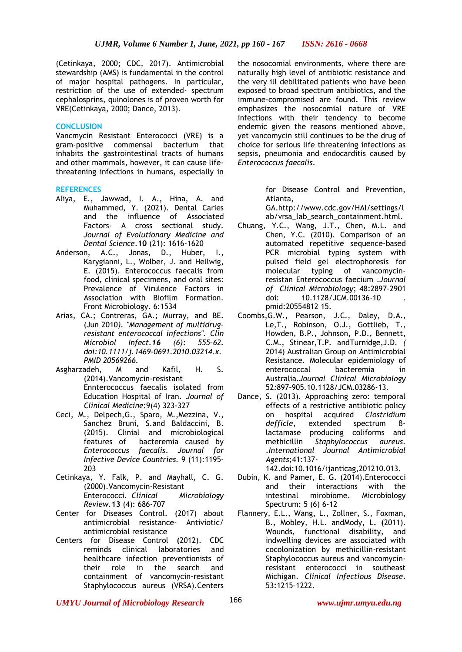(Cetinkaya, 2000; CDC, 2017). Antimicrobial stewardship (AMS) is fundamental in the control of major hospital pathogens. In particular, restriction of the use of extended- spectrum cephalosprins, quinolones is of proven worth for VRE(Cetinkaya, 2000; Dance, 2013).

## **CONCLUSION**

Vancmycin Resistant Enterococci (VRE) is a gram-positive commensal bacterium that inhabits the gastrointestinal tracts of humans and other mammals, however, it can cause lifethreatening infections in humans, especially in

## **REFERENCES**

- Aliya, E., Jawwad, I. A., Hina, A. and Muhammed, Y. (2021). Dental Caries and the influence of Associated Factors- A cross sectional study. *Journal of Evolutionary Medicine and Dental Science*.**10** (21): 1616-1620
- Anderson, A.C., Jonas, D., Huber, I., Karygianni, L., Wolber, J. and Hellwig, E. (2015). Enterococcus faecalis from food, clinical specimens, and oral sites: Prevalence of Virulence Factors in Association with Biofilm Formation. Front Microbiology. 6:1534
- Arias, CA.; Contreras, GA.; Murray, and BE. (Jun 2010*). "Management of multidrugresistant enterococcal infections". Clin Microbiol Infect.16 (6): 555–62. [doi](https://en.wikipedia.org/wiki/Digital_object_identifier)[:10.1111/j.1469-0691.2010.03214.x.](https://doi.org/10.1111/j.1469-0691.2010.03214.x) [PMID](https://en.wikipedia.org/wiki/PubMed_Identifier) [20569266.](https://www.ncbi.nlm.nih.gov/pubmed/20569266)*
- Asgharzadeh, M and Kafil, H. S. (2014).Vancomycin-resistant Ennterococcus faecalis isolated from Education Hospital of Iran. *Journal of Clinical Medicine*:9(4) 323-327
- Ceci, M., Delpech,G., Sparo, M.,Mezzina, V., Sanchez Bruni, S.and Baldaccini, B. (2015). Clinial and microbiological features of bacteremia caused by *Enterococcus faecalis*. *Journal for Infective Device Countries.* 9 (11):1195- 203
- Cetinkaya, Y. Falk, P. and Mayhall, C. G. (2000).Vancomycin-Resistant Enterococci. *Clinical Microbiology Review.***13** (4): 686-707
- Center for Diseases Control. (2017) about antimicrobial resistance- Antiviotic/ antimicrobial resistance
- Centers for Disease Control **(**2012). CDC reminds clinical laboratories and healthcare infection preventionists of their role in the search and containment of vancomycin-resistant Staphylococcus aureus (VRSA).Centers

the nosocomial environments, where there are naturally high level of antibiotic resistance and the very ill debilitated patients who have been exposed to broad spectrum antibiotics, and the immune-compromised are found. This review emphasizes the nosocomial nature of VRE infections with their tendency to become endemic given the reasons mentioned above, yet vancomycin still continues to be the drug of choice for serious life threatening infections as sepsis, pneumonia and endocarditis caused by *Enterococcus faecalis*.

> for Disease Control and Prevention, Atlanta,

> GA.http://www.cdc.gov/HAI/settings/l ab/vrsa\_lab\_search\_containment.html.

- Chuang, Y.C., Wang, J.T., Chen, M.L. and Chen, Y.C. (2010). Comparison of an automated repetitive sequence-based PCR microbial typing system with pulsed field gel electrophoresis for<br>molecular typing of vancomycintyping of vancomycinresistan Enterococcus faecium .*Journal of Clinical Microbiology*; 48:2897–2901 doi: 10.1128/JCM.00136-10 . pmid:20554812 15.
- Coombs,G.W., Pearson, J.C., Daley, D.A., Le,T., Robinson, O.J., Gottlieb, T., Howden, B.P., Johnson, P.D., Bennett, C.M., Stinear,T.P. andTurnidge,J.D. *(*  2014) Australian Group on Antimicrobial Resistance*.* Molecular epidemiology of enterococcal bacteremia in Australia*.Journal Clinical Microbiology*  52*:*897*–*905*.*10.1128/JCM.03286-13*.*
- Dance, S. (2013). Approaching zero: temporal effects of a restrictive antibiotic policy on hospital acquired *Clostridium defficle*, extended spectrum βlactamase producing coliforms and methicillin *Staphylococcus aureus.*  .*International Journal Antimicrobial Agents*;41:137-

142.doi:10.1016/ijanticag,201210.013.

- Dubin, K. and Pamer, E. G. (2014).Enterococci and their interactions with the intestinal mirobiome. Microbiology Spectrum: 5 (6) 6-12
- Flannery, E.L., Wang, L., Zollner, S., Foxman, B., Mobley, H.L. andMody, L**. (**2011). Wounds, functional disability, and indwelling devices are associated with cocolonization by methicillin-resistant Staphylococcus aureus and vancomycinresistant enterococci in southeast Michigan. *Clinical Infectious Disease*. 53:1215–1222.